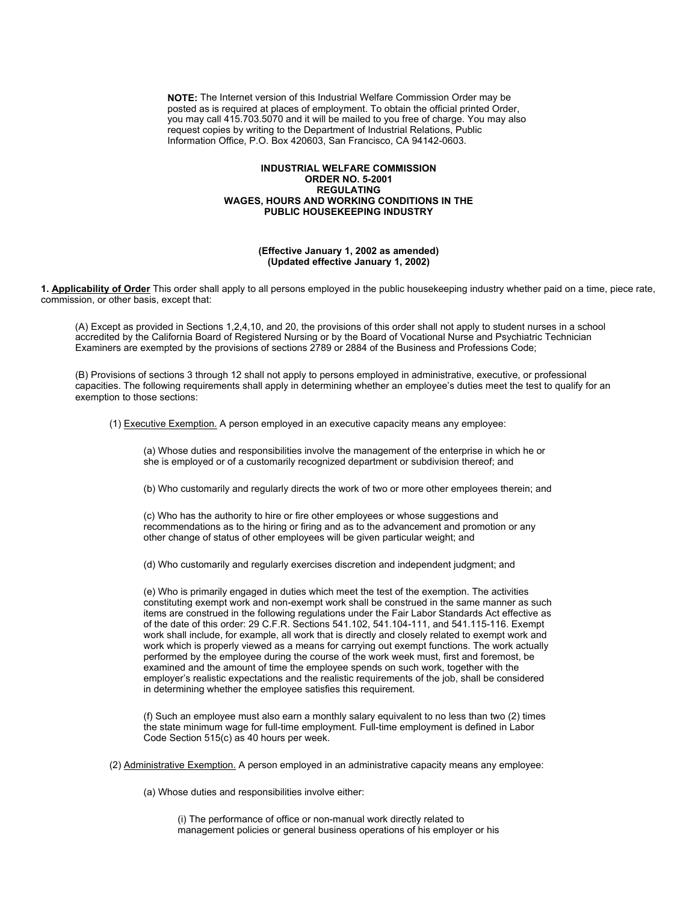**NOTE:** The Internet version of this Industrial Welfare Commission Order may be posted as is required at places of employment. To obtain the official printed Order, you may call 415.703.5070 and it will be mailed to you free of charge. You may also request copies by writing to the Department of Industrial Relations, Public Information Office, P.O. Box 420603, San Francisco, CA 94142-0603.

### **INDUSTRIAL WELFARE COMMISSION REGULATING ORDER NO. 5-2001 WAGES, HOURS AND WORKING CONDITIONS IN THE PUBLIC HOUSEKEEPING INDUSTRY**

#### **(Effective January 1, 2002 as amended) (Updated effective January 1, 2002)**

 **1. Applicability of Order** This order shall apply to all persons employed in the public housekeeping industry whether paid on a time, piece rate, commission, or other basis, except that:

 (A) Except as provided in Sections 1,2,4,10, and 20, the provisions of this order shall not apply to student nurses in a school accredited by the California Board of Registered Nursing or by the Board of Vocational Nurse and Psychiatric Technician Examiners are exempted by the provisions of sections 2789 or 2884 of the Business and Professions Code;

exemption to those sections: (B) Provisions of sections 3 through 12 shall not apply to persons employed in administrative, executive, or professional capacities. The following requirements shall apply in determining whether an employee's duties meet the test to qualify for an

(1) Executive Exemption. A person employed in an executive capacity means any employee:

(a) Whose duties and responsibilities involve the management of the enterprise in which he or she is employed or of a customarily recognized department or subdivision thereof; and

(b) Who customarily and regularly directs the work of two or more other employees therein; and

 recommendations as to the hiring or firing and as to the advancement and promotion or any (c) Who has the authority to hire or fire other employees or whose suggestions and other change of status of other employees will be given particular weight; and

(d) Who customarily and regularly exercises discretion and independent judgment; and

 (e) Who is primarily engaged in duties which meet the test of the exemption. The activities constituting exempt work and non-exempt work shall be construed in the same manner as such of the date of this order: 29 C.F.R. Sections 541.102, 541.104-111, and 541.115-116. Exempt work which is properly viewed as a means for carrying out exempt functions. The work actually performed by the employee during the course of the work week must, first and foremost, be examined and the amount of time the employee spends on such work, together with the items are construed in the following regulations under the Fair Labor Standards Act effective as work shall include, for example, all work that is directly and closely related to exempt work and employer's realistic expectations and the realistic requirements of the job, shall be considered in determining whether the employee satisfies this requirement.

 (f) Such an employee must also earn a monthly salary equivalent to no less than two (2) times the state minimum wage for full-time employment. Full-time employment is defined in Labor Code Section 515(c) as 40 hours per week.

(2) Administrative Exemption. A person employed in an administrative capacity means any employee:

(a) Whose duties and responsibilities involve either:

 (a) Whose duties and responsibilities involve either: (i) The performance of office or non-manual work directly related to management policies or general business operations of his employer or his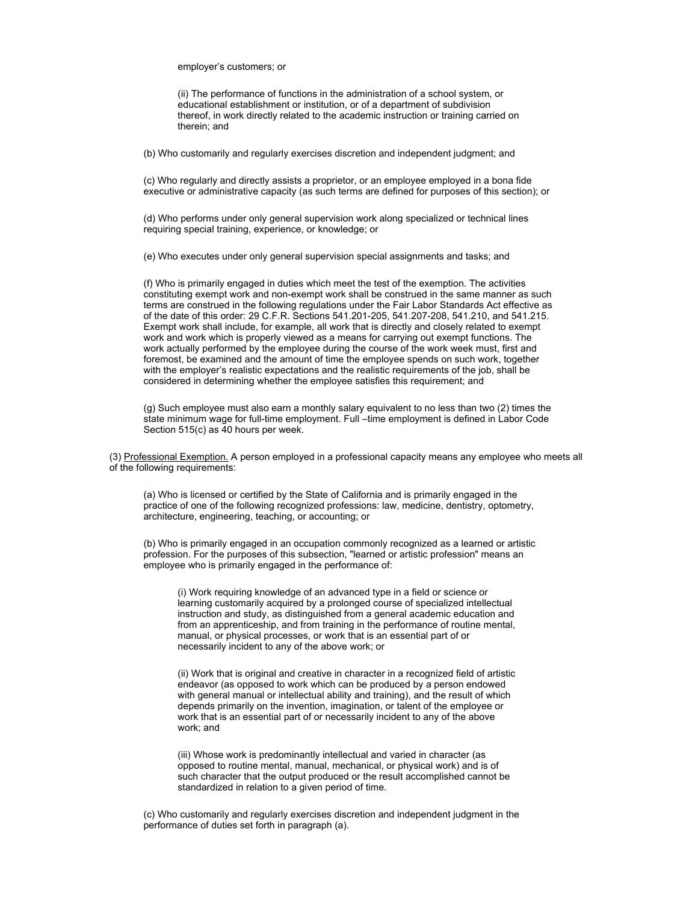employer's customers; or

(ii) The performance of functions in the administration of a school system, or educational establishment or institution, or of a department of subdivision thereof, in work directly related to the academic instruction or training carried on therein; and

(b) Who customarily and regularly exercises discretion and independent judgment; and

(c) Who regularly and directly assists a proprietor, or an employee employed in a bona fide executive or administrative capacity (as such terms are defined for purposes of this section); or

(d) Who performs under only general supervision work along specialized or technical lines requiring special training, experience, or knowledge; or

(e) Who executes under only general supervision special assignments and tasks; and

 constituting exempt work and non-exempt work shall be construed in the same manner as such terms are construed in the following regulations under the Fair Labor Standards Act effective as of the date of this order: 29 C.F.R. Sections 541.201-205, 541.207-208, 541.210, and 541.215. Exempt work shall include, for example, all work that is directly and closely related to exempt work and work which is properly viewed as a means for carrying out exempt functions. The work actually performed by the employee during the course of the work week must, first and foremost, be examined and the amount of time the employee spends on such work, together (f) Who is primarily engaged in duties which meet the test of the exemption. The activities with the employer's realistic expectations and the realistic requirements of the job, shall be considered in determining whether the employee satisfies this requirement; and

 state minimum wage for full-time employment. Full –time employment is defined in Labor Code (g) Such employee must also earn a monthly salary equivalent to no less than two (2) times the Section 515(c) as 40 hours per week.

(3) Professional Exemption. A person employed in a professional capacity means any employee who meets all of the following requirements:

 (a) Who is licensed or certified by the State of California and is primarily engaged in the practice of one of the following recognized professions: law, medicine, dentistry, optometry, architecture, engineering, teaching, or accounting; or

 (b) Who is primarily engaged in an occupation commonly recognized as a learned or artistic employee who is primarily engaged in the performance of: profession. For the purposes of this subsection, "learned or artistic profession" means an

 from an apprenticeship, and from training in the performance of routine mental, manual, or physical processes, or work that is an essential part of or (i) Work requiring knowledge of an advanced type in a field or science or learning customarily acquired by a prolonged course of specialized intellectual instruction and study, as distinguished from a general academic education and necessarily incident to any of the above work; or

 (ii) Work that is original and creative in character in a recognized field of artistic endeavor (as opposed to work which can be produced by a person endowed with general manual or intellectual ability and training), and the result of which work that is an essential part of or necessarily incident to any of the above depends primarily on the invention, imagination, or talent of the employee or work; and

 opposed to routine mental, manual, mechanical, or physical work) and is of (iii) Whose work is predominantly intellectual and varied in character (as such character that the output produced or the result accomplished cannot be standardized in relation to a given period of time.

(c) Who customarily and regularly exercises discretion and independent judgment in the performance of duties set forth in paragraph (a).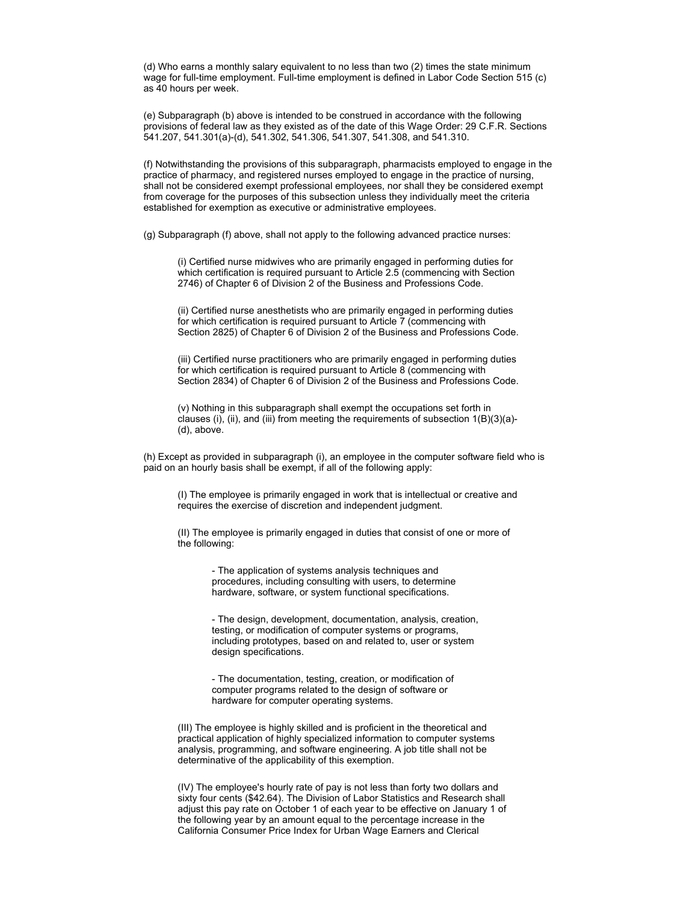wage for full-time employment. Full-time employment is defined in Labor Code Section 515 (c) (d) Who earns a monthly salary equivalent to no less than two (2) times the state minimum as 40 hours per week.

 provisions of federal law as they existed as of the date of this Wage Order: 29 C.F.R. Sections (e) Subparagraph (b) above is intended to be construed in accordance with the following 541.207, 541.301(a)-(d), 541.302, 541.306, 541.307, 541.308, and 541.310.

(f) Notwithstanding the provisions of this subparagraph, pharmacists employed to engage in the practice of pharmacy, and registered nurses employed to engage in the practice of nursing, shall not be considered exempt professional employees, nor shall they be considered exempt from coverage for the purposes of this subsection unless they individually meet the criteria established for exemption as executive or administrative employees.

(g) Subparagraph (f) above, shall not apply to the following advanced practice nurses:

 which certification is required pursuant to Article 2.5 (commencing with Section (i) Certified nurse midwives who are primarily engaged in performing duties for 2746) of Chapter 6 of Division 2 of the Business and Professions Code.

Section 2825) of Chapter 6 of Division 2 of the Business and Professions Code. (ii) Certified nurse anesthetists who are primarily engaged in performing duties for which certification is required pursuant to Article 7 (commencing with

(iii) Certified nurse practitioners who are primarily engaged in performing duties for which certification is required pursuant to Article 8 (commencing with Section 2834) of Chapter 6 of Division 2 of the Business and Professions Code.

 (v) Nothing in this subparagraph shall exempt the occupations set forth in clauses (i), (ii), and (iii) from meeting the requirements of subsection 1(B)(3)(a) (d), above.

 (h) Except as provided in subparagraph (i), an employee in the computer software field who is paid on an hourly basis shall be exempt, if all of the following apply:

requires the exercise of discretion and independent judgment. requires the exercise of discretion and independent judgment.<br>(II) The employee is primarily engaged in duties that consist of one or more of (I) The employee is primarily engaged in work that is intellectual or creative and

the following:

- The application of systems analysis techniques and procedures, including consulting with users, to determine hardware, software, or system functional specifications.

 including prototypes, based on and related to, user or system - The design, development, documentation, analysis, creation, testing, or modification of computer systems or programs, design specifications.

 - The documentation, testing, creation, or modification of computer programs related to the design of software or hardware for computer operating systems.

(III) The employee is highly skilled and is proficient in the theoretical and practical application of highly specialized information to computer systems analysis, programming, and software engineering. A job title shall not be determinative of the applicability of this exemption.

 (IV) The employee's hourly rate of pay is not less than forty two dollars and adjust this pay rate on October 1 of each year to be effective on January 1 of California Consumer Price Index for Urban Wage Earners and Clerical sixty four cents (\$42.64). The Division of Labor Statistics and Research shall the following year by an amount equal to the percentage increase in the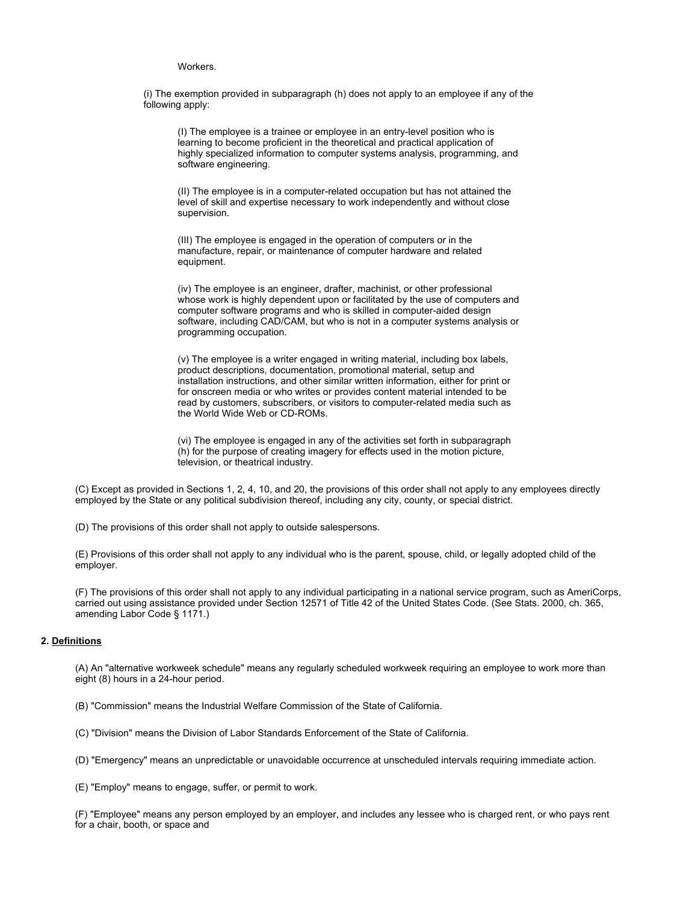#### Workers.

 (i) The exemption provided in subparagraph (h) does not apply to an employee if any of the following apply:

 (I) The employee is a trainee or employee in an entry-level position who is learning to become proficient in the theoretical and practical application of highly specialized information to computer systems analysis, programming, and software engineering.

 (II) The employee is in a computer-related occupation but has not attained the level of skill and expertise necessary to work independently and without close supervision.

 manufacture, repair, or maintenance of computer hardware and related (III) The employee is engaged in the operation of computers or in the equipment.

 software, including CAD/CAM, but who is not in a computer systems analysis or (iv) The employee is an engineer, drafter, machinist, or other professional whose work is highly dependent upon or facilitated by the use of computers and computer software programs and who is skilled in computer-aided design programming occupation.

 installation instructions, and other similar written information, either for print or for onscreen media or who writes or provides content material intended to be (v) The employee is a writer engaged in writing material, including box labels, product descriptions, documentation, promotional material, setup and read by customers, subscribers, or visitors to computer-related media such as the World Wide Web or CD-ROMs.

(vi) The employee is engaged in any of the activities set forth in subparagraph (h) for the purpose of creating imagery for effects used in the motion picture, television, or theatrical industry.

 (C) Except as provided in Sections 1, 2, 4, 10, and 20, the provisions of this order shall not apply to any employees directly employed by the State or any political subdivision thereof, including any city, county, or special district.

(D) The provisions of this order shall not apply to outside salespersons.

(D) The provisions of this order shall not apply to outside salespersons.<br>(E) Provisions of this order shall not apply to any individual who is the parent, spouse, child, or legally adopted child of the employer.

(F) The provisions of this order shall not apply to any individual participating in a national service program, such as AmeriCorps, carried out using assistance provided under Section 12571 of Title 42 of the United States Code. (See Stats. 2000, ch. 365, amending Labor Code § 1171.)

### **2. Definitions**

(A) An "alternative workweek schedule" means any regularly scheduled workweek requiring an employee to work more than eight (8) hours in a 24-hour period.

(B) "Commission" means the Industrial Welfare Commission of the State of California.

(C) "Division" means the Division of Labor Standards Enforcement of the State of California.

(D) "Emergency" means an unpredictable or unavoidable occurrence at unscheduled intervals requiring immediate action.

(E) "Employ" means to engage, suffer, or permit to work.

(F) "Employee" means any person employed by an employer, and includes any lessee who is charged rent, or who pays rent for a chair, booth, or space and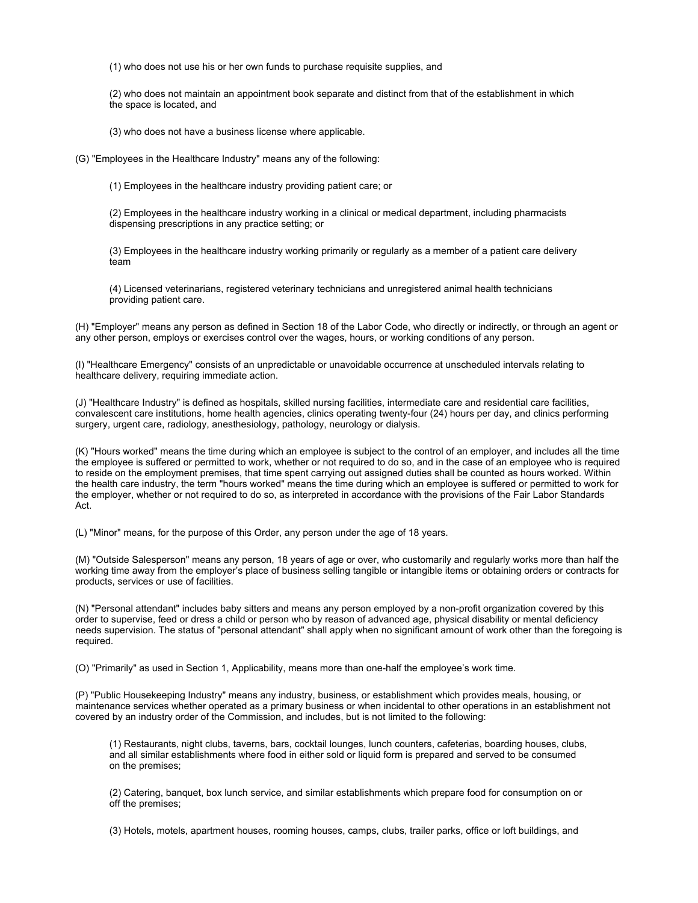(1) who does not use his or her own funds to purchase requisite supplies, and

(2) who does not maintain an appointment book separate and distinct from that of the establishment in which the space is located, and

(3) who does not have a business license where applicable.

(G) "Employees in the Healthcare Industry" means any of the following:

(1) Employees in the healthcare industry providing patient care; or

 (2) Employees in the healthcare industry working in a clinical or medical department, including pharmacists dispensing prescriptions in any practice setting; or

 (3) Employees in the healthcare industry working primarily or regularly as a member of a patient care delivery team

(4) Licensed veterinarians, registered veterinary technicians and unregistered animal health technicians providing patient care.

 (H) "Employer" means any person as defined in Section 18 of the Labor Code, who directly or indirectly, or through an agent or any other person, employs or exercises control over the wages, hours, or working conditions of any person.

any other person, employs or exercises control over the wages, hours, or working conditions of any person.<br>(I) "Healthcare Emergency" consists of an unpredictable or unavoidable occurrence at unscheduled intervals relating healthcare delivery, requiring immediate action.

 (J) "Healthcare Industry" is defined as hospitals, skilled nursing facilities, intermediate care and residential care facilities, convalescent care institutions, home health agencies, clinics operating twenty-four (24) hours per day, and clinics performing surgery, urgent care, radiology, anesthesiology, pathology, neurology or dialysis.

 (K) "Hours worked" means the time during which an employee is subject to the control of an employer, and includes all the time to reside on the employment premises, that time spent carrying out assigned duties shall be counted as hours worked. Within the employer, whether or not required to do so, as interpreted in accordance with the provisions of the Fair Labor Standards the employee is suffered or permitted to work, whether or not required to do so, and in the case of an employee who is required the health care industry, the term "hours worked" means the time during which an employee is suffered or permitted to work for Act.

(L) "Minor" means, for the purpose of this Order, any person under the age of 18 years.

 (M) "Outside Salesperson" means any person, 18 years of age or over, who customarily and regularly works more than half the working time away from the employer's place of business selling tangible or intangible items or obtaining orders or contracts for products, services or use of facilities.

(N) "Personal attendant" includes baby sitters and means any person employed by a non-profit organization covered by this order to supervise, feed or dress a child or person who by reason of advanced age, physical disability or mental deficiency needs supervision. The status of "personal attendant" shall apply when no significant amount of work other than the foregoing is required.

(O) "Primarily" as used in Section 1, Applicability, means more than one-half the employee's work time.

 (P) "Public Housekeeping Industry" means any industry, business, or establishment which provides meals, housing, or maintenance services whether operated as a primary business or when incidental to other operations in an establishment not covered by an industry order of the Commission, and includes, but is not limited to the following:

 (1) Restaurants, night clubs, taverns, bars, cocktail lounges, lunch counters, cafeterias, boarding houses, clubs, and all similar establishments where food in either sold or liquid form is prepared and served to be consumed on the premises;

 (2) Catering, banquet, box lunch service, and similar establishments which prepare food for consumption on or off the premises;

(3) Hotels, motels, apartment houses, rooming houses, camps, clubs, trailer parks, office or loft buildings, and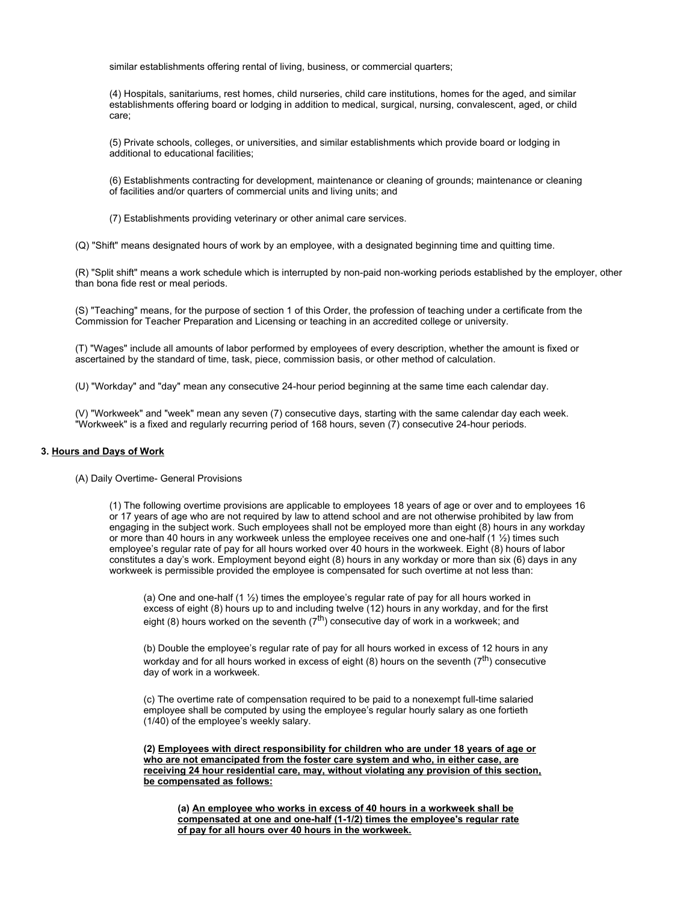similar establishments offering rental of living, business, or commercial quarters;

 establishments offering board or lodging in addition to medical, surgical, nursing, convalescent, aged, or child (4) Hospitals, sanitariums, rest homes, child nurseries, child care institutions, homes for the aged, and similar care;

 (5) Private schools, colleges, or universities, and similar establishments which provide board or lodging in additional to educational facilities;

of facilities and/or quarters of commercial units and living units; and (6) Establishments contracting for development, maintenance or cleaning of grounds; maintenance or cleaning

(7) Establishments providing veterinary or other animal care services.

(Q) "Shift" means designated hours of work by an employee, with a designated beginning time and quitting time.

 (R) "Split shift" means a work schedule which is interrupted by non-paid non-working periods established by the employer, other than bona fide rest or meal periods.

 (S) "Teaching" means, for the purpose of section 1 of this Order, the profession of teaching under a certificate from the Commission for Teacher Preparation and Licensing or teaching in an accredited college or university.

 ascertained by the standard of time, task, piece, commission basis, or other method of calculation. (T) "Wages" include all amounts of labor performed by employees of every description, whether the amount is fixed or

(U) "Workday" and "day" mean any consecutive 24-hour period beginning at the same time each calendar day.

 "Workweek" is a fixed and regularly recurring period of 168 hours, seven (7) consecutive 24-hour periods. (V) "Workweek" and "week" mean any seven (7) consecutive days, starting with the same calendar day each week.

# **3. Hours and Days of Work**

(A) Daily Overtime- General Provisions

 or 17 years of age who are not required by law to attend school and are not otherwise prohibited by law from engaging in the subject work. Such employees shall not be employed more than eight (8) hours in any workday employee's regular rate of pay for all hours worked over 40 hours in the workweek. Eight (8) hours of labor (1) The following overtime provisions are applicable to employees 18 years of age or over and to employees 16 or more than 40 hours in any workweek unless the employee receives one and one-half  $(1 \frac{1}{2})$  times such constitutes a day's work. Employment beyond eight (8) hours in any workday or more than six (6) days in any workweek is permissible provided the employee is compensated for such overtime at not less than:

(a) One and one-half (1 ½) times the employee's regular rate of pay for all hours worked in excess of eight (8) hours up to and including twelve (12) hours in any workday, and for the first eight (8) hours worked on the seventh  $(7<sup>th</sup>)$  consecutive day of work in a workweek; and

(b) Double the employee's regular rate of pay for all hours worked in excess of 12 hours in any workday and for all hours worked in excess of eight (8) hours on the seventh ( $7<sup>th</sup>$ ) consecutive day of work in a workweek.

 (1/40) of the employee's weekly salary. (c) The overtime rate of compensation required to be paid to a nonexempt full-time salaried employee shall be computed by using the employee's regular hourly salary as one fortieth

**(2) Employees with direct responsibility for children who are under 18 years of age or who are not emancipated from the foster care system and who, in either case, are receiving 24 hour residential care, may, without violating any provision of this section, be compensated as follows:** 

**(a) An employee who works in excess of 40 hours in a workweek shall be compensated at one and one-half (1-1/2) times the employee's regular rate of pay for all hours over 40 hours in the workweek.**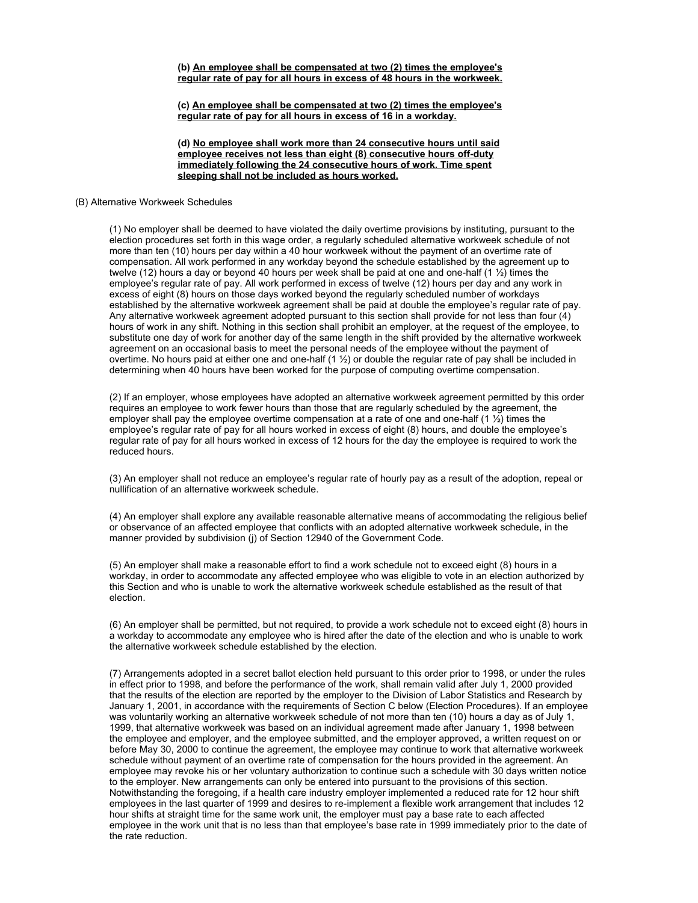**(b) An employee shall be compensated at two (2) times the employee's regular rate of pay for all hours in excess of 48 hours in the workweek.** 

**(c) An employee shall be compensated at two (2) times the employee's regular rate of pay for all hours in excess of 16 in a workday.** 

**(d) No employee shall work more than 24 consecutive hours until said employee receives not less than eight (8) consecutive hours off-duty immediately following the 24 consecutive hours of work. Time spent sleeping shall not be included as hours worked.** 

### (B) Alternative Workweek Schedules

 twelve (12) hours a day or beyond 40 hours per week shall be paid at one and one-half (1 ½) times the employee's regular rate of pay. All work performed in excess of twelve (12) hours per day and any work in excess of eight (8) hours on those days worked beyond the regularly scheduled number of workdays established by the alternative workweek agreement shall be paid at double the employee's regular rate of pay. Any alternative workweek agreement adopted pursuant to this section shall provide for not less than four (4) hours of work in any shift. Nothing in this section shall prohibit an employer, at the request of the employee, to substitute one day of work for another day of the same length in the shift provided by the alternative workweek overtime. No hours paid at either one and one-half (1 ½) or double the regular rate of pay shall be included in determining when 40 hours have been worked for the purpose of computing overtime compensation. (1) No employer shall be deemed to have violated the daily overtime provisions by instituting, pursuant to the election procedures set forth in this wage order, a regularly scheduled alternative workweek schedule of not more than ten (10) hours per day within a 40 hour workweek without the payment of an overtime rate of compensation. All work performed in any workday beyond the schedule established by the agreement up to agreement on an occasional basis to meet the personal needs of the employee without the payment of

determining when 40 hours have been worked for the purpose of computing overtime compensation.<br>(2) If an employer, whose employees have adopted an alternative workweek agreement permitted by this order employer shall pay the employee overtime compensation at a rate of one and one-half (1  $\frac{1}{2}$ ) times the employee's regular rate of pay for all hours worked in excess of eight (8) hours, and double the employee's regular rate of pay for all hours worked in excess of 12 hours for the day the employee is required to work the requires an employee to work fewer hours than those that are regularly scheduled by the agreement, the reduced hours.

(3) An employer shall not reduce an employee's regular rate of hourly pay as a result of the adoption, repeal or nullification of an alternative workweek schedule.

(4) An employer shall explore any available reasonable alternative means of accommodating the religious belief or observance of an affected employee that conflicts with an adopted alternative workweek schedule, in the manner provided by subdivision (j) of Section 12940 of the Government Code.

 (5) An employer shall make a reasonable effort to find a work schedule not to exceed eight (8) hours in a this Section and who is unable to work the alternative workweek schedule established as the result of that workday, in order to accommodate any affected employee who was eligible to vote in an election authorized by election.

 a workday to accommodate any employee who is hired after the date of the election and who is unable to work (6) An employer shall be permitted, but not required, to provide a work schedule not to exceed eight (8) hours in the alternative workweek schedule established by the election.

 (7) Arrangements adopted in a secret ballot election held pursuant to this order prior to 1998, or under the rules that the results of the election are reported by the employer to the Division of Labor Statistics and Research by before May 30, 2000 to continue the agreement, the employee may continue to work that alternative workweek employee may revoke his or her voluntary authorization to continue such a schedule with 30 days written notice to the employer. New arrangements can only be entered into pursuant to the provisions of this section. Notwithstanding the foregoing, if a health care industry employer implemented a reduced rate for 12 hour shift employees in the last quarter of 1999 and desires to re-implement a flexible work arrangement that includes 12 hour shifts at straight time for the same work unit, the employer must pay a base rate to each affected employee in the work unit that is no less than that employee's base rate in 1999 immediately prior to the date of in effect prior to 1998, and before the performance of the work, shall remain valid after July 1, 2000 provided January 1, 2001, in accordance with the requirements of Section C below (Election Procedures). If an employee was voluntarily working an alternative workweek schedule of not more than ten (10) hours a day as of July 1, 1999, that alternative workweek was based on an individual agreement made after January 1, 1998 between the employee and employer, and the employee submitted, and the employer approved, a written request on or schedule without payment of an overtime rate of compensation for the hours provided in the agreement. An the rate reduction.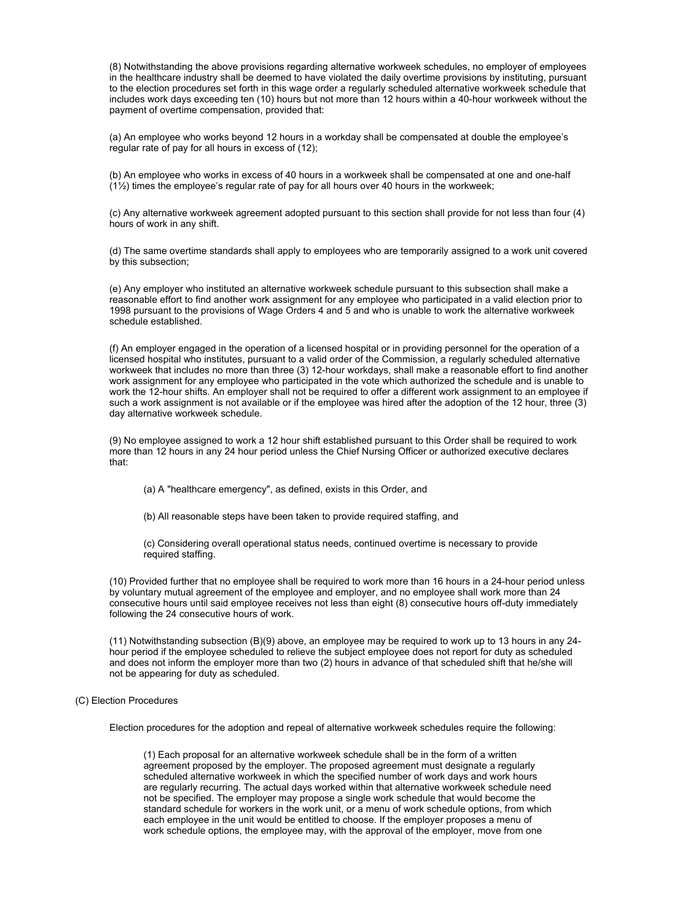in the healthcare industry shall be deemed to have violated the daily overtime provisions by instituting, pursuant to the election procedures set forth in this wage order a regularly scheduled alternative workweek schedule that includes work days exceeding ten (10) hours but not more than 12 hours within a 40-hour workweek without the (8) Notwithstanding the above provisions regarding alternative workweek schedules, no employer of employees payment of overtime compensation, provided that:

 (a) An employee who works beyond 12 hours in a workday shall be compensated at double the employee's regular rate of pay for all hours in excess of (12);

 (b) An employee who works in excess of 40 hours in a workweek shall be compensated at one and one-half (1½) times the employee's regular rate of pay for all hours over 40 hours in the workweek;

 (c) Any alternative workweek agreement adopted pursuant to this section shall provide for not less than four (4) hours of work in any shift.

 (d) The same overtime standards shall apply to employees who are temporarily assigned to a work unit covered by this subsection;

 (e) Any employer who instituted an alternative workweek schedule pursuant to this subsection shall make a 1998 pursuant to the provisions of Wage Orders 4 and 5 and who is unable to work the alternative workweek reasonable effort to find another work assignment for any employee who participated in a valid election prior to schedule established.

 (f) An employer engaged in the operation of a licensed hospital or in providing personnel for the operation of a licensed hospital who institutes, pursuant to a valid order of the Commission, a regularly scheduled alternative work assignment for any employee who participated in the vote which authorized the schedule and is unable to work the 12-hour shifts. An employer shall not be required to offer a different work assignment to an employee if day alternative workweek schedule. workweek that includes no more than three (3) 12-hour workdays, shall make a reasonable effort to find another such a work assignment is not available or if the employee was hired after the adoption of the 12 hour, three (3)

 (9) No employee assigned to work a 12 hour shift established pursuant to this Order shall be required to work more than 12 hours in any 24 hour period unless the Chief Nursing Officer or authorized executive declares that:

(a) A "healthcare emergency", as defined, exists in this Order, and

(b) All reasonable steps have been taken to provide required staffing, and

(c) Considering overall operational status needs, continued overtime is necessary to provide required staffing.

 (10) Provided further that no employee shall be required to work more than 16 hours in a 24-hour period unless consecutive hours until said employee receives not less than eight (8) consecutive hours off-duty immediately by voluntary mutual agreement of the employee and employer, and no employee shall work more than 24 following the 24 consecutive hours of work.

 (11) Notwithstanding subsection (B)(9) above, an employee may be required to work up to 13 hours in any 24 and does not inform the employer more than two (2) hours in advance of that scheduled shift that he/she will not be appearing for duty as scheduled. hour period if the employee scheduled to relieve the subject employee does not report for duty as scheduled

#### (C) Election Procedures

Election procedures for the adoption and repeal of alternative workweek schedules require the following:

 (1) Each proposal for an alternative workweek schedule shall be in the form of a written are regularly recurring. The actual days worked within that alternative workweek schedule need not be specified. The employer may propose a single work schedule that would become the each employee in the unit would be entitled to choose. If the employer proposes a menu of work schedule options, the employee may, with the approval of the employer, move from one agreement proposed by the employer. The proposed agreement must designate a regularly scheduled alternative workweek in which the specified number of work days and work hours standard schedule for workers in the work unit, or a menu of work schedule options, from which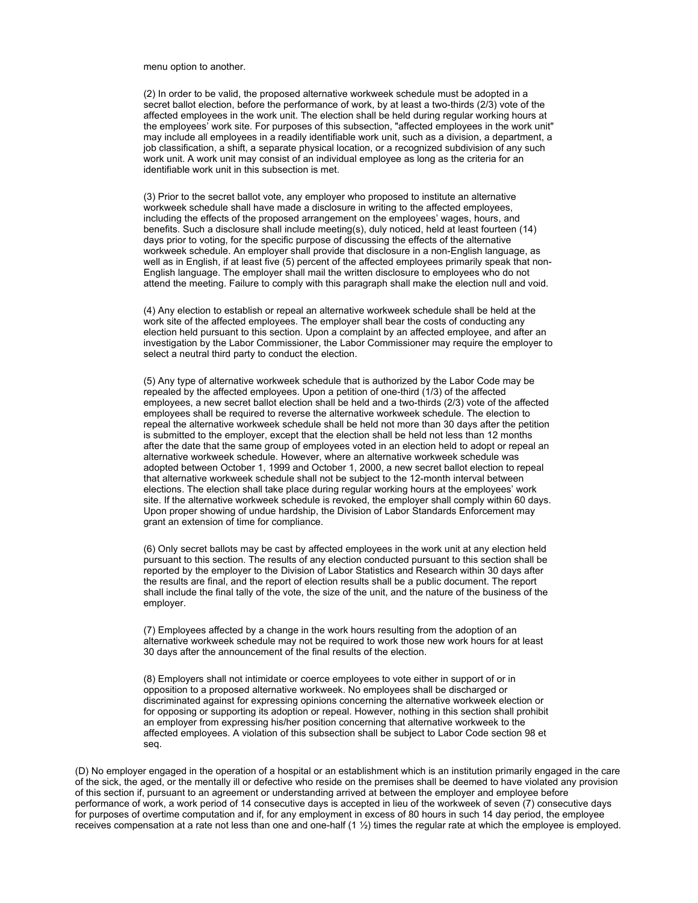menu option to another.

 (2) In order to be valid, the proposed alternative workweek schedule must be adopted in a secret ballot election, before the performance of work, by at least a two-thirds (2/3) vote of the affected employees in the work unit. The election shall be held during regular working hours at work unit. A work unit may consist of an individual employee as long as the criteria for an identifiable work unit in this subsection is met. the employees' work site. For purposes of this subsection, "affected employees in the work unit" may include all employees in a readily identifiable work unit, such as a division, a department, a job classification, a shift, a separate physical location, or a recognized subdivision of any such

 workweek schedule shall have made a disclosure in writing to the affected employees, including the effects of the proposed arrangement on the employees' wages, hours, and benefits. Such a disclosure shall include meeting(s), duly noticed, held at least fourteen (14) days prior to voting, for the specific purpose of discussing the effects of the alternative workweek schedule. An employer shall provide that disclosure in a non-English language, as (3) Prior to the secret ballot vote, any employer who proposed to institute an alternative well as in English, if at least five (5) percent of the affected employees primarily speak that non-English language. The employer shall mail the written disclosure to employees who do not attend the meeting. Failure to comply with this paragraph shall make the election null and void.

 (4) Any election to establish or repeal an alternative workweek schedule shall be held at the work site of the affected employees. The employer shall bear the costs of conducting any election held pursuant to this section. Upon a complaint by an affected employee, and after an investigation by the Labor Commissioner, the Labor Commissioner may require the employer to select a neutral third party to conduct the election.

 repealed by the affected employees. Upon a petition of one-third (1/3) of the affected employees shall be required to reverse the alternative workweek schedule. The election to repeal the alternative workweek schedule shall be held not more than 30 days after the petition is submitted to the employer, except that the election shall be held not less than 12 months after the date that the same group of employees voted in an election held to adopt or repeal an alternative workweek schedule. However, where an alternative workweek schedule was adopted between October 1, 1999 and October 1, 2000, a new secret ballot election to repeal that alternative workweek schedule shall not be subject to the 12-month interval between elections. The election shall take place during regular working hours at the employees' work site. If the alternative workweek schedule is revoked, the employer shall comply within 60 days. (5) Any type of alternative workweek schedule that is authorized by the Labor Code may be employees, a new secret ballot election shall be held and a two-thirds (2/3) vote of the affected Upon proper showing of undue hardship, the Division of Labor Standards Enforcement may grant an extension of time for compliance.

 (6) Only secret ballots may be cast by affected employees in the work unit at any election held reported by the employer to the Division of Labor Statistics and Research within 30 days after the results are final, and the report of election results shall be a public document. The report shall include the final tally of the vote, the size of the unit, and the nature of the business of the pursuant to this section. The results of any election conducted pursuant to this section shall be employer.

 (7) Employees affected by a change in the work hours resulting from the adoption of an alternative workweek schedule may not be required to work those new work hours for at least 30 days after the announcement of the final results of the election.

 (8) Employers shall not intimidate or coerce employees to vote either in support of or in discriminated against for expressing opinions concerning the alternative workweek election or for opposing or supporting its adoption or repeal. However, nothing in this section shall prohibit affected employees. A violation of this subsection shall be subject to Labor Code section 98 et opposition to a proposed alternative workweek. No employees shall be discharged or an employer from expressing his/her position concerning that alternative workweek to the seq.

 (D) No employer engaged in the operation of a hospital or an establishment which is an institution primarily engaged in the care of the sick, the aged, or the mentally ill or defective who reside on the premises shall be deemed to have violated any provision of this section if, pursuant to an agreement or understanding arrived at between the employer and employee before performance of work, a work period of 14 consecutive days is accepted in lieu of the workweek of seven (7) consecutive days for purposes of overtime computation and if, for any employment in excess of 80 hours in such 14 day period, the employee receives compensation at a rate not less than one and one-half (1 ½) times the regular rate at which the employee is employed.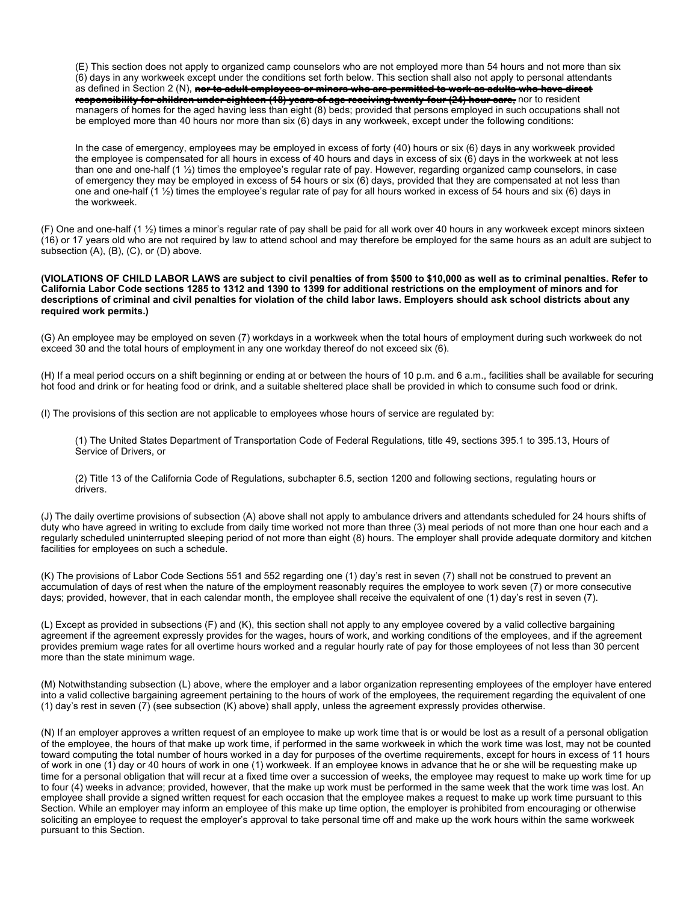(E) This section does not apply to organized camp counselors who are not employed more than 54 hours and not more than six (6) days in any workweek except under the conditions set forth below. This section shall also not apply to personal attendants as defined in Section 2 (N), **nor to adult employees or minors who are permitted to work as adults who have direct responsibility for children under eighteen (18) years of age receiving twenty-four (24) hour care,** nor to resident managers of homes for the aged having less than eight (8) beds; provided that persons employed in such occupations shall not be employed more than 40 hours nor more than six (6) days in any workweek, except under the following conditions:

 In the case of emergency, employees may be employed in excess of forty (40) hours or six (6) days in any workweek provided the employee is compensated for all hours in excess of 40 hours and days in excess of six (6) days in the workweek at not less of emergency they may be employed in excess of 54 hours or six (6) days, provided that they are compensated at not less than one and one-half (1 ½) times the employee's regular rate of pay for all hours worked in excess of 54 hours and six (6) days in than one and one-half (1 ½) times the employee's regular rate of pay. However, regarding organized camp counselors, in case the workweek.

(F) One and one-half (1 ½) times a minor's regular rate of pay shall be paid for all work over 40 hours in any workweek except minors sixteen (16) or 17 years old who are not required by law to attend school and may therefore be employed for the same hours as an adult are subject to subsection (A), (B), (C), or (D) above.

**(VIOLATIONS OF CHILD LABOR LAWS are subject to civil penalties of from \$500 to \$10,000 as well as to criminal penalties. Refer to California Labor Code sections 1285 to 1312 and 1390 to 1399 for additional restrictions on the employment of minors and for descriptions of criminal and civil penalties for violation of the child labor laws. Employers should ask school districts about any required work permits.)** 

 (G) An employee may be employed on seven (7) workdays in a workweek when the total hours of employment during such workweek do not exceed 30 and the total hours of employment in any one workday thereof do not exceed six (6).

 hot food and drink or for heating food or drink, and a suitable sheltered place shall be provided in which to consume such food or drink. (H) If a meal period occurs on a shift beginning or ending at or between the hours of 10 p.m. and 6 a.m., facilities shall be available for securing

(I) The provisions of this section are not applicable to employees whose hours of service are regulated by:

 (1) The United States Department of Transportation Code of Federal Regulations, title 49, sections 395.1 to 395.13, Hours of Service of Drivers, or

(2) Title 13 of the California Code of Regulations, subchapter 6.5, section 1200 and following sections, regulating hours or drivers.

 (J) The daily overtime provisions of subsection (A) above shall not apply to ambulance drivers and attendants scheduled for 24 hours shifts of duty who have agreed in writing to exclude from daily time worked not more than three (3) meal periods of not more than one hour each and a regularly scheduled uninterrupted sleeping period of not more than eight (8) hours. The employer shall provide adequate dormitory and kitchen facilities for employees on such a schedule.

 accumulation of days of rest when the nature of the employment reasonably requires the employee to work seven (7) or more consecutive days; provided, however, that in each calendar month, the employee shall receive the equivalent of one (1) day's rest in seven (7). (K) The provisions of Labor Code Sections 551 and 552 regarding one (1) day's rest in seven (7) shall not be construed to prevent an

 (L) Except as provided in subsections (F) and (K), this section shall not apply to any employee covered by a valid collective bargaining provides premium wage rates for all overtime hours worked and a regular hourly rate of pay for those employees of not less than 30 percent agreement if the agreement expressly provides for the wages, hours of work, and working conditions of the employees, and if the agreement more than the state minimum wage.

(M) Notwithstanding subsection (L) above, where the employer and a labor organization representing employees of the employer have entered into a valid collective bargaining agreement pertaining to the hours of work of the employees, the requirement regarding the equivalent of one  $(1)$  day's rest in seven  $(7)$  (see subsection  $(K)$  above) shall apply, unless the agreement expressly provides otherwise.

 (N) If an employer approves a written request of an employee to make up work time that is or would be lost as a result of a personal obligation of the employee, the hours of that make up work time, if performed in the same workweek in which the work time was lost, may not be counted of work in one (1) day or 40 hours of work in one (1) workweek. If an employee knows in advance that he or she will be requesting make up to four (4) weeks in advance; provided, however, that the make up work must be performed in the same week that the work time was lost. An employee shall provide a signed written request for each occasion that the employee makes a request to make up work time pursuant to this Section. While an employer may inform an employee of this make up time option, the employer is prohibited from encouraging or otherwise soliciting an employee to request the employer's approval to take personal time off and make up the work hours within the same workweek pursuant to this Section. toward computing the total number of hours worked in a day for purposes of the overtime requirements, except for hours in excess of 11 hours time for a personal obligation that will recur at a fixed time over a succession of weeks, the employee may request to make up work time for up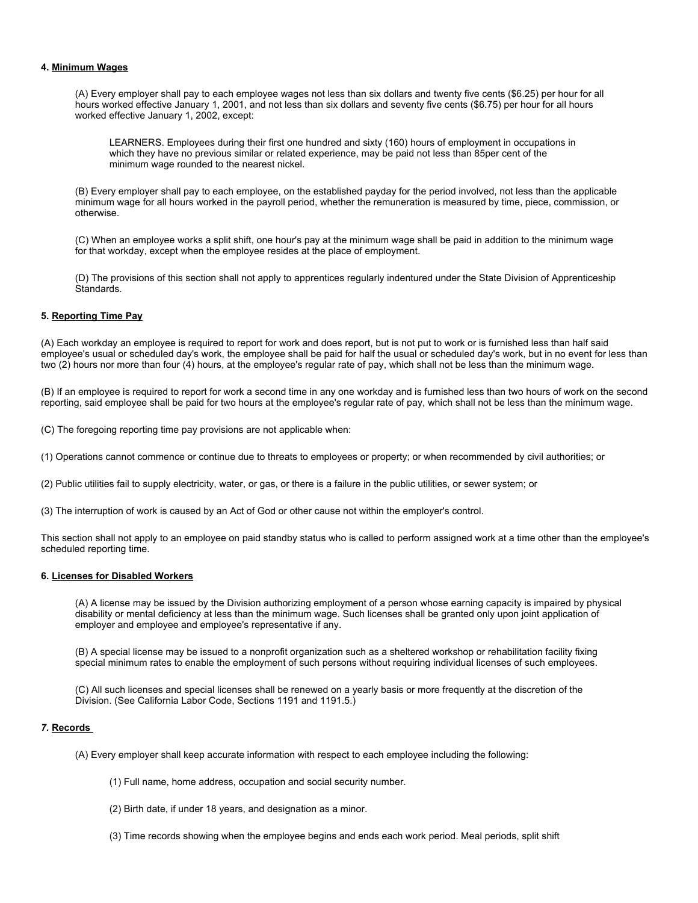### **4. Minimum Wages**

 (A) Every employer shall pay to each employee wages not less than six dollars and twenty five cents (\$6.25) per hour for all hours worked effective January 1, 2001, and not less than six dollars and seventy five cents (\$6.75) per hour for all hours worked effective January 1, 2002, except:

 LEARNERS. Employees during their first one hundred and sixty (160) hours of employment in occupations in which they have no previous similar or related experience, may be paid not less than 85per cent of the minimum wage rounded to the nearest nickel.

minimum wage rounded to the nearest nickel.<br>(B) Every employer shall pay to each employee, on the established payday for the period involved, not less than the applicable) minimum wage for all hours worked in the payroll period, whether the remuneration is measured by time, piece, commission, or

otherwise.<br>(C) When an employee works a split shift, one hour's pay at the minimum wage shall be paid in addition to the minimum wage for that workday, except when the employee resides at the place of employment.

for that workday, except when the employee resides at the place of employment.<br>(D) The provisions of this section shall not apply to apprentices regularly indentured under the State Division of Apprenticeship Standards.

## **5. Reporting Time Pay**

 (A) Each workday an employee is required to report for work and does report, but is not put to work or is furnished less than half said employee's usual or scheduled day's work, the employee shall be paid for half the usual or scheduled day's work, but in no event for less than two (2) hours nor more than four (4) hours, at the employee's regular rate of pay, which shall not be less than the minimum wage.

 (B) If an employee is required to report for work a second time in any one workday and is furnished less than two hours of work on the second reporting, said employee shall be paid for two hours at the employee's regular rate of pay, which shall not be less than the minimum wage.

(C) The foregoing reporting time pay provisions are not applicable when:

(1) Operations cannot commence or continue due to threats to employees or property; or when recommended by civil authorities; or

(2) Public utilities fail to supply electricity, water, or gas, or there is a failure in the public utilities, or sewer system; or

(3) The interruption of work is caused by an Act of God or other cause not within the employer's control.

 This section shall not apply to an employee on paid standby status who is called to perform assigned work at a time other than the employee's scheduled reporting time.

### **6. Licenses for Disabled Workers**

 employer and employee and employee's representative if any. (A) A license may be issued by the Division authorizing employment of a person whose earning capacity is impaired by physical disability or mental deficiency at less than the minimum wage. Such licenses shall be granted only upon joint application of

 (B) A special license may be issued to a nonprofit organization such as a sheltered workshop or rehabilitation facility fixing special minimum rates to enable the employment of such persons without requiring individual licenses of such employees.

 Division. (See California Labor Code, Sections 1191 and 1191.5.) (C) All such licenses and special licenses shall be renewed on a yearly basis or more frequently at the discretion of the

#### *7.* **Records**

(A) Every employer shall keep accurate information with respect to each employee including the following:

(1) Full name, home address, occupation and social security number.

(2) Birth date, if under 18 years, and designation as a minor.

(3) Time records showing when the employee begins and ends each work period. Meal periods, split shift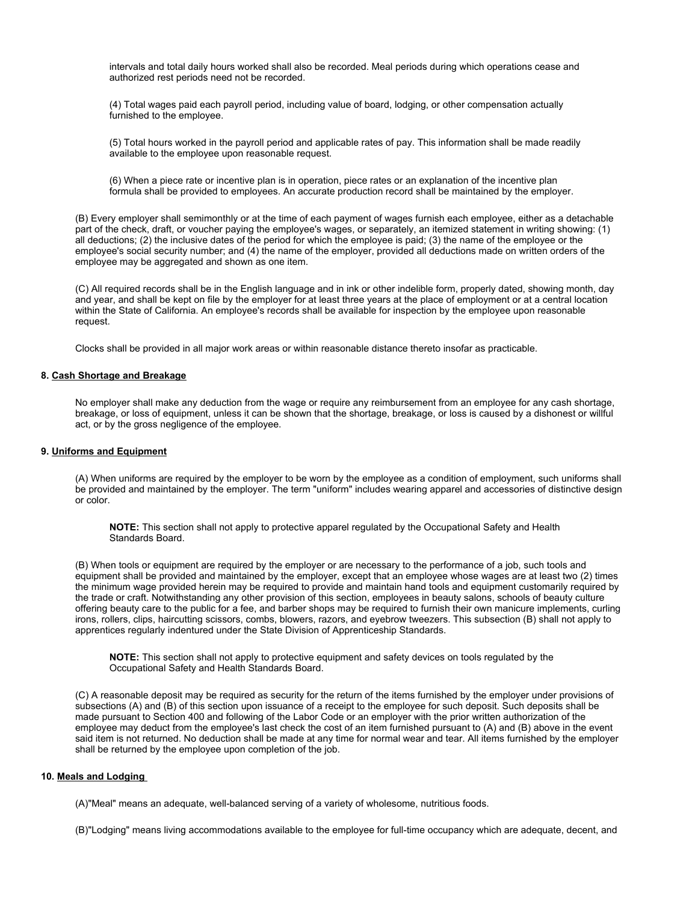intervals and total daily hours worked shall also be recorded. Meal periods during which operations cease and authorized rest periods need not be recorded.

authorized rest periods need not be recorded.<br>(4) Total wages paid each payroll period, including value of board, lodging, or other compensation actually furnished to the employee.

 (5) Total hours worked in the payroll period and applicable rates of pay. This information shall be made readily available to the employee upon reasonable request.

 formula shall be provided to employees. An accurate production record shall be maintained by the employer. (6) When a piece rate or incentive plan is in operation, piece rates or an explanation of the incentive plan

 part of the check, draft, or voucher paying the employee's wages, or separately, an itemized statement in writing showing: (1) employee may be aggregated and shown as one item. (B) Every employer shall semimonthly or at the time of each payment of wages furnish each employee, either as a detachable all deductions; (2) the inclusive dates of the period for which the employee is paid; (3) the name of the employee or the employee's social security number; and (4) the name of the employer, provided all deductions made on written orders of the

 (C) All required records shall be in the English language and in ink or other indelible form, properly dated, showing month, day and year, and shall be kept on file by the employer for at least three years at the place of employment or at a central location within the State of California. An employee's records shall be available for inspection by the employee upon reasonable request.

request.<br>Clocks shall be provided in all major work areas or within reasonable distance thereto insofar as practicable.

### **8. Cash Shortage and Breakage**

 No employer shall make any deduction from the wage or require any reimbursement from an employee for any cash shortage, breakage, or loss of equipment, unless it can be shown that the shortage, breakage, or loss is caused by a dishonest or willful act, or by the gross negligence of the employee.

## **9. Uniforms and Equipment**

 (A) When uniforms are required by the employer to be worn by the employee as a condition of employment, such uniforms shall be provided and maintained by the employer. The term "uniform" includes wearing apparel and accessories of distinctive design or color.

 **NOTE:** This section shall not apply to protective apparel regulated by the Occupational Safety and Health Standards Board.

Standards Board.<br>(B) When tools or equipment are required by the employer or are necessary to the performance of a job, such tools and equipment shall be provided and maintained by the employer, except that an employee whose wages are at least two (2) times the trade or craft. Notwithstanding any other provision of this section, employees in beauty salons, schools of beauty culture offering beauty care to the public for a fee, and barber shops may be required to furnish their own manicure implements, curling irons, rollers, clips, haircutting scissors, combs, blowers, razors, and eyebrow tweezers. This subsection (B) shall not apply to the minimum wage provided herein may be required to provide and maintain hand tools and equipment customarily required by apprentices regularly indentured under the State Division of Apprenticeship Standards.

Occupational Safety and Health Standards Board. **NOTE:** This section shall not apply to protective equipment and safety devices on tools regulated by the

Occupational Safety and Health Standards Board.<br>(C) A reasonable deposit may be required as security for the return of the items furnished by the employer under provisions of said item is not returned. No deduction shall be made at any time for normal wear and tear. All items furnished by the employer subsections (A) and (B) of this section upon issuance of a receipt to the employee for such deposit. Such deposits shall be made pursuant to Section 400 and following of the Labor Code or an employer with the prior written authorization of the employee may deduct from the employee's last check the cost of an item furnished pursuant to (A) and (B) above in the event shall be returned by the employee upon completion of the job.

#### **10. Meals and Lodging**

(A)"Meal" means an adequate, well-balanced serving of a variety of wholesome, nutritious foods.

(B)"Lodging" means living accommodations available to the employee for full-time occupancy which are adequate, decent, and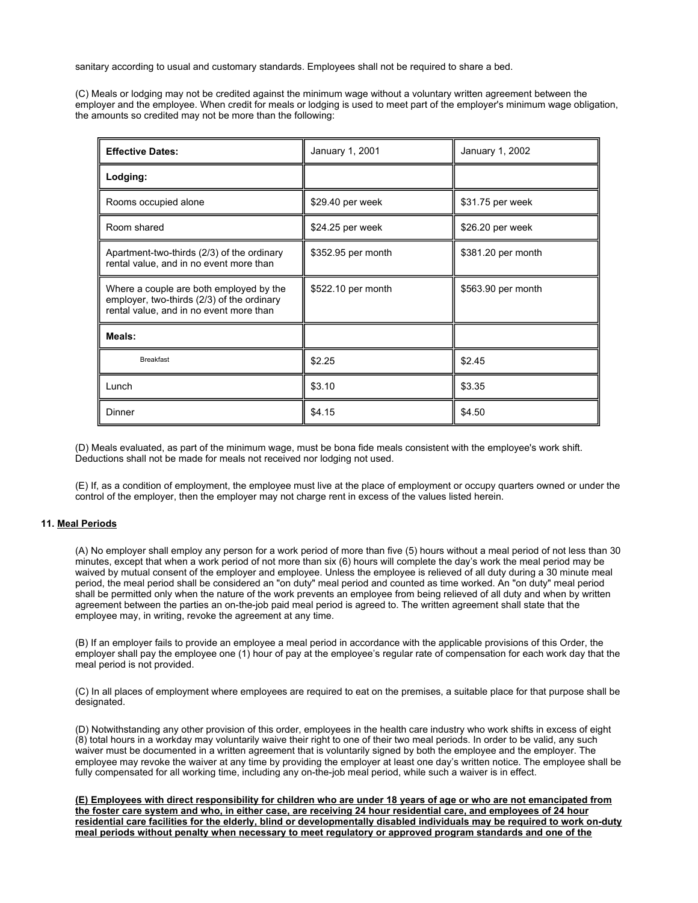sanitary according to usual and customary standards. Employees shall not be required to share a bed.

 (C) Meals or lodging may not be credited against the minimum wage without a voluntary written agreement between the employer and the employee. When credit for meals or lodging is used to meet part of the employer's minimum wage obligation, the amounts so credited may not be more than the following:

| <b>Effective Dates:</b>                                                                                                          | January 1, 2001    | January 1, 2002    |
|----------------------------------------------------------------------------------------------------------------------------------|--------------------|--------------------|
| Lodging:                                                                                                                         |                    |                    |
| Rooms occupied alone                                                                                                             | \$29.40 per week   | \$31.75 per week   |
| Room shared                                                                                                                      | \$24.25 per week   | \$26.20 per week   |
| Apartment-two-thirds (2/3) of the ordinary<br>rental value, and in no event more than                                            | \$352.95 per month | \$381.20 per month |
| Where a couple are both employed by the<br>employer, two-thirds (2/3) of the ordinary<br>rental value, and in no event more than | \$522.10 per month | \$563.90 per month |
| Meals:                                                                                                                           |                    |                    |
| <b>Breakfast</b>                                                                                                                 | \$2.25             | \$2.45             |
| Lunch                                                                                                                            | \$3.10             | \$3.35             |
| Dinner                                                                                                                           | \$4.15             | \$4.50             |

 (D) Meals evaluated, as part of the minimum wage, must be bona fide meals consistent with the employee's work shift. Deductions shall not be made for meals not received nor lodging not used.

 (E) If, as a condition of employment, the employee must live at the place of employment or occupy quarters owned or under the control of the employer, then the employer may not charge rent in excess of the values listed herein.

## **11. Meal Periods**

 (A) No employer shall employ any person for a work period of more than five (5) hours without a meal period of not less than 30 minutes, except that when a work period of not more than six (6) hours will complete the day's work the meal period may be waived by mutual consent of the employer and employee. Unless the employee is relieved of all duty during a 30 minute meal period, the meal period shall be considered an "on duty" meal period and counted as time worked. An "on duty" meal period shall be permitted only when the nature of the work prevents an employee from being relieved of all duty and when by written agreement between the parties an on-the-job paid meal period is agreed to. The written agreement shall state that the employee may, in writing, revoke the agreement at any time.

 (B) If an employer fails to provide an employee a meal period in accordance with the applicable provisions of this Order, the employer shall pay the employee one (1) hour of pay at the employee's regular rate of compensation for each work day that the meal period is not provided.

designated. (C) In all places of employment where employees are required to eat on the premises, a suitable place for that purpose shall be

(D) Notwithstanding any other provision of this order, employees in the health care industry who work shifts in excess of eight (8) total hours in a workday may voluntarily waive their right to one of their two meal periods. In order to be valid, any such waiver must be documented in a written agreement that is voluntarily signed by both the employee and the employer. The employee may revoke the waiver at any time by providing the employer at least one day's written notice. The employee shall be fully compensated for all working time, including any on-the-job meal period, while such a waiver is in effect.

**(E) Employees with direct responsibility for children who are under 18 years of age or who are not emancipated from the foster care system and who, in either case, are receiving 24 hour residential care, and employees of 24 hour residential care facilities for the elderly, blind or developmentally disabled individuals may be required to work on-duty meal periods without penalty when necessary to meet regulatory or approved program standards and one of the**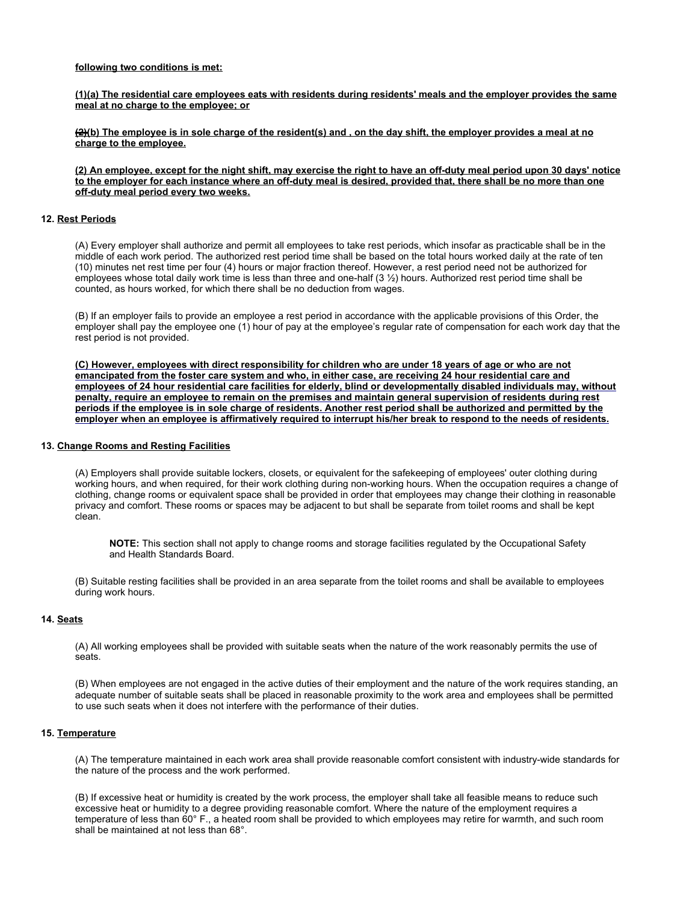#### **following two conditions is met:**

**(1)(a) The residential care employees eats with residents during residents' meals and the employer provides the same meal at no charge to the employee; or** 

**(2)(b) The employee is in sole charge of the resident(s) and , on the day shift, the employer provides a meal at no charge to the employee.** 

**(2) An employee, except for the night shift, may exercise the right to have an off-duty meal period upon 30 days' notice to the employer for each instance where an off-duty meal is desired, provided that, there shall be no more than one off-duty meal period every two weeks.** 

### **12. Rest Periods**

(A) Every employer shall authorize and permit all employees to take rest periods, which insofar as practicable shall be in the middle of each work period. The authorized rest period time shall be based on the total hours worked daily at the rate of ten (10) minutes net rest time per four (4) hours or major fraction thereof. However, a rest period need not be authorized for employees whose total daily work time is less than three and one-half  $(3 \frac{1}{2})$  hours. Authorized rest period time shall be counted, as hours worked, for which there shall be no deduction from wages.

 (B) If an employer fails to provide an employee a rest period in accordance with the applicable provisions of this Order, the employer shall pay the employee one (1) hour of pay at the employee's regular rate of compensation for each work day that the rest period is not provided.

**(C) However, employees with direct responsibility for children who are under 18 years of age or who are not emancipated from the foster care system and who, in either case, are receiving 24 hour residential care and employees of 24 hour residential care facilities for elderly, blind or developmentally disabled individuals may, without penalty, require an employee to remain on the premises and maintain general supervision of residents during rest periods if the employee is in sole charge of residents. Another rest period shall be authorized and permitted by the employer when an employee is affirmatively required to interrupt his/her break to respond to the needs of residents.** 

### **13. Change Rooms and Resting Facilities**

 clothing, change rooms or equivalent space shall be provided in order that employees may change their clothing in reasonable privacy and comfort. These rooms or spaces may be adjacent to but shall be separate from toilet rooms and shall be kept (A) Employers shall provide suitable lockers, closets, or equivalent for the safekeeping of employees' outer clothing during working hours, and when required, for their work clothing during non-working hours. When the occupation requires a change of clean.

 **NOTE:** This section shall not apply to change rooms and storage facilities regulated by the Occupational Safety and Health Standards Board.

 during work hours. (B) Suitable resting facilities shall be provided in an area separate from the toilet rooms and shall be available to employees

## **14. Seats**

seats (A) All working employees shall be provided with suitable seats when the nature of the work reasonably permits the use of

 adequate number of suitable seats shall be placed in reasonable proximity to the work area and employees shall be permitted (B) When employees are not engaged in the active duties of their employment and the nature of the work requires standing, an to use such seats when it does not interfere with the performance of their duties.

# **15. Temperature**

(A) The temperature maintained in each work area shall provide reasonable comfort consistent with industry-wide standards for the nature of the process and the work performed.

 excessive heat or humidity to a degree providing reasonable comfort. Where the nature of the employment requires a temperature of less than 60° F., a heated room shall be provided to which employees may retire for warmth, and such room shall be maintained at not less than 68°. (B) If excessive heat or humidity is created by the work process, the employer shall take all feasible means to reduce such